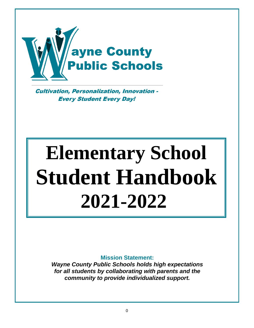

**Cultivation, Personalization, Innovation -Every Student Every Day!** 

# **Elementary School Student Handbook 2021-2022**

**Mission Statement Mission Statement:**

> *Wayne County Public Schools holds high expectations for all students by collaborating with parents and the community to provide individualized support.*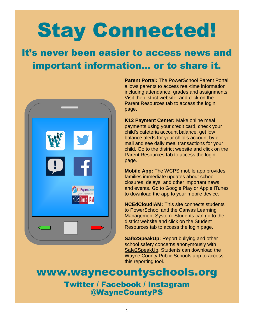# Stay Connected! Stay Connected!

# important information... or to share it. It's never been easier to access news and



and information that you want.<br>The Democratic The Democratic Theorem and Democratic Theorem and Democratic Theorem and Democratic Theorem and Visit the district website, and click on the Parent Resources tab to access the login closures & delays, news events, and much more  $\sim$ Just go to Google Play or Apple iTunes to download **Parent Portal:** The PowerSchool Parent Portal allows parents to access real-time information including attendance, grades and assignments. page.

> **K12 Payment Center:** Make online meal payments using your credit card, check your child's cafeteria account balance, get low balance alerts for your child's account by email and see daily meal transactions for your main and see daily mean handcollene for year.<br>child. Go to the district website and click on the  $M<sub>o</sub>$  YouTube Channel. We use all the  $2<sub>o</sub>$ Parent Resources tab to access the login  $\mathsf{age}.$  While notice  $\mathsf{case}$ page.

> **Mobile App:** The WCPS mobile app provides. **Hammed Internative up stated as called strategies**. information system that important from and events. Go to Google Play or Apple iTunes to download the app to your mobile device. families immediate updates about school

to PowerSchool and the Canvas Learning Management System. Students can go to the district website and click on the Student our choice and short of the season. Resources tab to access the login page. **NCEdCloudIAM:** This site connects students

school safety concerns anonymously with Safe2SpeakUp. Students can download the Wayne County Public Schools app to access website to any the sensor<br>this reporting tool. **Safe2SpeakUp:** Report bullying and other

www.waynecountyschools.org www.waynecountyschools.org Twitter / Facebook / Instagram @WayneCountyPS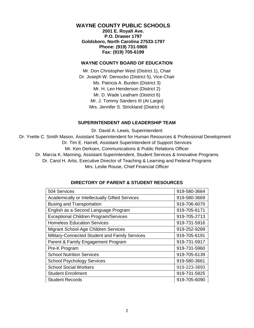#### **WAYNE COUNTY PUBLIC SCHOOLS**

**2001 E. Royall Ave. P.O. Drawer 1797 Goldsboro, North Carolina 27533-1797 Phone: (919) 731-5900 Fax: (919) 705-6199**

#### **WAYNE COUNTY BOARD OF EDUCATION**

Mr. Don Christopher West (District 1), Chair Dr. Joseph W. Democko (District 5), Vice-Chair Ms. Patricia A. Burden (District 3) Mr. H. Len Henderson (District 2) Mr. D. Wade Leatham (District 6) Mr. J. Tommy Sanders III (At Large) Mrs. Jennifer S. Strickland (District 4)

#### **SUPERINTENDENT AND LEADERSHIP TEAM**

Dr. David A. Lewis, Superintendent Dr. Yvette C. Smith Mason, Assistant Superintendent for Human Resources & Professional Development Dr. Tim E. Harrell, Assistant Superintendent of Support Services Mr. Ken Derksen, Communications & Public Relations Officer Dr. Marcia K. Manning, Assistant Superintendent, Student Services & Innovative Programs Dr. Carol H. Artis, Executive Director of Teaching & Learning and Federal Programs Mrs. Leslie Rouse, Chief Financial Officer

| 504 Services                                          | 919-580-3664 |
|-------------------------------------------------------|--------------|
| <b>Academically or Intellectually Gifted Services</b> | 919-580-3669 |
| <b>Busing and Transportation</b>                      | 919-706-6070 |
| English as a Second Language Program                  | 919-705-6171 |
| <b>Exceptional Children Program/Services</b>          | 919-705-2713 |
| <b>Homeless Education Services</b>                    | 919-731-5916 |
| Migrant School-Age Children Services                  | 919-252-9289 |
| Military-Connected Student and Family Services        | 919-705-6191 |
| Parent & Family Engagement Program                    | 919-731-5917 |
| Pre-K Program                                         | 919-731-5960 |
| <b>School Nutrition Services</b>                      | 919-705-6139 |
| <b>School Psychology Services</b>                     | 919-580-3661 |
| <b>School Social Workers</b>                          | 919-223-3893 |
| <b>Student Enrollment</b>                             | 919-731-5925 |
| <b>Student Records</b>                                | 919-705-6090 |

#### **DIRECTORY OF PARENT & STUDENT RESOURCES**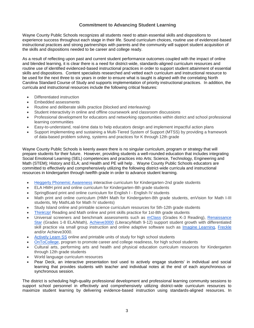#### **Commitment to Advancing Student Learning**

Wayne County Public Schools recognizes all students need to attain essential skills and dispositions to experience success throughout each stage in their life. Sound curriculum choices, routine use of evidenced-based instructional practices and strong partnerships with parents and the community will support student acquisition of the skills and dispositions needed to be career and college ready.

As a result of reflecting upon past and current student performance outcomes coupled with the impact of online and blended learning, it is clear there is a need for district-wide, standards-aligned curriculum resources and routine use of identified evidenced-based instructional practices in order to support student attainment of essential skills and dispositions. Content specialists researched and vetted each curriculum and instructional resource to be used for the next three to six years in order to ensure what is taught is aligned with the correlating North Carolina Standard Course of Study and supports implementation of priority instructional practices. In addition, the curricula and instructional resources include the following critical features:

- Differentiated instruction
- Fmbedded assessments
- Routine and deliberate skills practice (blocked and interleaving)
- Student interactivity in online and offline coursework and classroom discussions
- Professional development for educators and networking opportunities within district and school professional learning communities
- Easy-to-understand, real-time data to help educators design and implement impactful action plans
- Support implementing and sustaining a Multi-Tiered System of Support (MTSS) by providing a framework of data-based problem solving, systems and practices for K through 12th grade

Wayne County Public Schools is keenly aware there is no singular curriculum, program or strategy that will prepare students for their future. However, providing students a well-rounded education that includes integrating Social Emotional Learning (SEL) competencies and practices into Arts; Science, Technology, Engineering and Math (STEM); History and ELA; and Health and PE will help . Wayne County Public Schools educators are committed to effectively and comprehensively utilizing the following district-wide curricula and instructional resources in kindergarten through twelfth grade in order to advance student learning.

- [Heggerty Phonemic Awareness](https://heggerty.org/curriculum/) interactive curriculum for Kindergarten-2nd grade students
- ELA HMH print and online curriculum for Kindergarten-8th grade students
- SpringBoard print and online curriculum for English I English IV students
- Math print and online curriculum (HMH Math for Kindergarten-8th grade students, enVision for Math I-III students, My MathLab for Math IV students)
- Study Island online and printable science curriculum resources for 5th-12th grade students
- [ThinkUp!](https://docs.google.com/document/d/1EhMG2kKbK-lry0Y2AANpgi-GCSHRN06pXTscVJ4vZI0/edit?usp=sharing) Reading and Math online and print skills practice for 1st-8th grade students
- Universal screeners and benchmark assessments such as [mClass](https://mclass.amplify.com/homeconnect/) (Grades K-3 Reading), [Renaissance](https://www.renaissance.com/services/parent-resources/assessments-testing/)  [Star](https://www.renaissance.com/services/parent-resources/assessments-testing/) (Grades 1-8 ELA/Math), [Achieve3000](https://docs.google.com/presentation/d/1fKFhOTa3XJkrcOmeupkvbBDz81rVYE1_8fJtv4xYeFI/edit?usp=sharing) (Literacy/Math 9-12) support student growth with differentiated skill practice via small group instruction and online adaptive software such as [Imagine Learning,](https://cdn-websites.imaginelearning.com/marketing/Whitepapers/MR370+Early+Childhood+Education+-+White+Paper+2.pdf) [Freckle](https://blog.freckle.com/freckle-at-home) and/or Achieve3000.
- [Actively Learn SS](https://docs.google.com/document/d/1I7L-KX2FKidmU055UbVdojoUgzydO5Z4OoE3hBIHRgA/edit?usp=sharing) online and printable units of study for high school students
- [OnToCollege,](https://drive.google.com/file/d/1ofycnuABYCIRhNmbjDhHcW6XIeQYbrv8/view?usp=sharing) program to promote career and college readiness, for high school students
- Cultural arts, performing arts and health and physical education curriculum resources for Kindergarten through 12th grade students
- World language curriculum resources
- Pear Deck, an interactive presentation tool used to actively engage students' in individual and social learning that provides students with teacher and individual notes at the end of each asynchronous or synchronous session.

The district is scheduling high-quality professional development and professional learning community sessions to support school personnel in effectively and comprehensively utilizing district-wide curriculum resources to maximize student learning by delivering evidence-based instruction using standards-aligned resources. In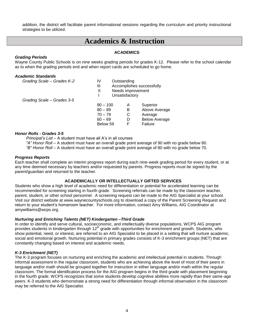addition, the district will facilitate parent informational sessions regarding the curriculum and priority instructional strategies to be utilized.

### **Academics & Instruction**

#### **ACADEMICS**

#### *Grading Periods*

Wayne County Public Schools is on nine weeks grading periods for grades K-12. Please refer to the school calendar as to when the grading periods end and when report cards are scheduled to go home.

#### *Academic Standards*

| Grading Scale - Grades K-2 | IV         | Outstanding       |                           |
|----------------------------|------------|-------------------|---------------------------|
|                            | Ш          |                   | Accomplishes successfully |
|                            | Ш          | Needs improvement |                           |
|                            |            | Unsatisfactory    |                           |
| Grading Scale - Grades 3-5 |            |                   |                           |
|                            | $90 - 100$ | A                 | Superior                  |
|                            | $80 - 89$  | в                 | Above Average             |
|                            | $70 - 79$  | С                 | Average                   |
|                            | $60 - 69$  | D                 | <b>Below Average</b>      |
|                            | Below 59   | F                 | Failure                   |
|                            |            |                   |                           |

#### *Honor Rolls - Grades 3-5*

*Principal's List* – A student must have all A's in all courses

*"A" Honor Roll* – A student must have an overall grade point average of 90 with no grade below 80.

*"B" Honor Roll* – A student must have an overall grade point average of 80 with no grade below 70.

#### *Progress Reports*

Each teacher shall complete an interim progress report during each nine-week grading period for every student, or at any time deemed necessary by teachers and/or requested by parents. Progress reports must be signed by the parent/guardian and returned to the teacher.

#### **ACADEMICALLY OR INTELLECTUALLY GIFTED SERVICES**

Students who show a high level of academic need for differentiation or potential for accelerated learning can be recommended for screening starting in fourth grade. Screening referrals can be made by the classroom teacher, parent, student, or other school personnel. A screening request can be made to the AIG Specialist at your school. Visit our district website at www.waynecountyschools.org to download a copy of the Parent Screening Request and return to your student's homeroom teacher. For more information, contact Amy Williams, AIG Coordinator at amywilliams@wcps.org.

#### *Nurturing and Enriching Talents (NET) Kindergarten –Third Grade*

In order to identify and serve cultural, socioeconomic, and intellectually diverse populations, WCPS AIG program provides students in kindergarten through 12<sup>th</sup> grade with opportunities for enrichment and growth. Students, who show potential, need, or interest, are referred to an AIG Specialist to be placed in a setting that will nurture academic, social and emotional growth. Nurturing potential in primary grades consists of K-3 enrichment groups (NET) that are constantly changing based on interest and academic needs.

#### *K-3 Enrichment (NET)*

The K-3 program focuses on nurturing and enriching the academic and intellectual potential in students. Through informal assessment in the regular classroom, students who are achieving above the level of most of their peers in language and/or math should be grouped together for instruction in either language and/or math within the regular classroom. The formal identification process for the AIG program begins in the third grade with placement beginning in the fourth grade. WCPS recognizes that some students develop cognitive abilities more rapidly than their same-age peers. K-3 students who demonstrate a strong need for differentiation through informal observation in the classroom may be referred to the AIG Specialist.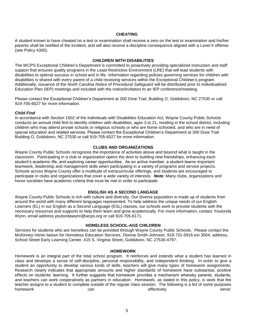#### **CHEATING**

A student known to have cheated on a test or examination shall receive a zero on the test or examination and his/her parents shall be notified of the incident, and will also receive a discipline consequence aligned with a Level II offense (see Policy 4300).

#### **CHILDREN WITH DISABILITIES**

The WCPS Exceptional Children's Department is committed to proactively providing specialized instruction and staff support that ensures quality programs in the Least Restrictive Environment (LRE) that will lead students with disabilities to optimal success in school and in life. Information regarding policies governing services for children with disabilities is shared with every parent of a child receiving services within the Exceptional Children's program. Additionally, issuance of the *North Carolina Notice of Procedural Safeguard* will be distributed prior to Individualized Education Plan (IEP) meetings and included with the notice/invitation to an IEP conference/meeting.

Please contact the Exceptional Children's Department at 300 Dixie Trail, Building O, Goldsboro, NC 27530 or call 919-705-6027 for more information.

#### *Child Find*

In accordance with Section 1502 of the Individuals with Disabilities Education Act, Wayne County Public Schools conducts an annual child find to identify children with disabilities, ages 3 to 21, residing in the school district, including children who may attend private schools or religious schools or who are home schooled, and who are in need of special education and related services. Please contact the Exceptional Children's Department at 300 Dixie Trail Building O, Goldsboro, NC 27530 or call 919-705-6027 for more information.

#### **CLUBS AND ORGANIZATIONS**

Wayne County Public Schools recognizes the importance of activities above and beyond what is taught in the classroom. Participating in a club or organization opens the door to building new friendships, enhancing each student's academic life, and exploring career opportunities. As an active member, a student learns important teamwork, leadership and management skills when participating in a variety of programs and service projects. Schools across Wayne County offer a multitude of extracurricular offerings, and students are encouraged to participate in clubs and organizations that cover a wide variety of interests. *Note:* Many clubs, organizations and honor societies have academic criteria that must be met in order to participate.

#### **ENGLISH AS A SECOND LANGAGE**

Wayne County Public Schools is rich with culture and diversity. Our diverse population is made up of students from around the world with many different languages represented. To help address the unique needs of our English Learners (EL) in our English as a Second Language (ESL) classes, our schools work to provide students with the necessary resources and supports to help them learn and grow academically. For more information, contact Youlonda Wynn, email address youlondawynn@wcps.org or call 919-705-6171.

#### **HOMELESS SCHOOL-AGE CHILDREN**

Services for students who are homeless can be provided through Wayne County Public Schools. Please contact the McKinney-Vento liaison for Homeless Education Services, Dionna Smith-Johnson, 919-731-5916 ext 3004; address, School Street Early Learning Center, 415 S. Virginia Street, Goldsboro, NC 27530-4797.

#### **HOMEWORK**

Homework is an integral part of the total school program. It reinforces and extends what a student has learned in class and develops a sense of self-discipline, personal responsibility, and independent thinking. In order to give a student an opportunity to develop various kinds of skills, teachers will give many types of homework assignments. Research clearly indicates that appropriate amounts and higher standards of homework have substantial, positive effects on students' learning. It further suggests that homework provides a mechanism whereby parents, students, and teachers can work cooperatively as partners in education. Homework, as stated in this policy, is work that the teacher assigns to a student to complete outside of the regular class session. The following is a list of some purposes<br>:serve: can homework can effectively serve: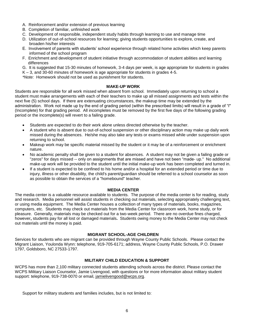- A. Reinforcement and/or extension of previous learning
- B. Completion of familiar, unfinished work
- C. Development of responsible, independent study habits through learning to use and manage time
- D. Utilization of out-of-school resources for learning; giving students opportunities to explore, create, and broaden his/her interests
- E. Involvement of parents with students' school experience through related home activities which keep parents informed of the school program
- F. Enrichment and development of student initiative through accommodation of student abilities and learning differences
- G. It is suggested that 15-30 minutes of homework, 3-4 days per week, is age appropriate for students in grades

K – 3, and 30-60 minutes of homework is age appropriate for students in grades 4-5.

*\*Note:* Homework should not be used as punishment for students.

#### **MAKE-UP WORK**

Students are responsible for all work missed when absent from school. Immediately upon returning to school a student must make arrangements with each of their teachers to make up all missed assignments and tests within the next five (5) school days. If there are extenuating circumstances, the makeup time may be extended by the administration. Work not made up by the end of grading period (within the prescribed limits) will result in a grade of "I" (Incomplete) for that grading period. All incompletes must be removed by the first five days of the following grading period or the incomplete(s) will revert to a failing grade.

- Students are expected to do their work alone unless directed otherwise by the teacher.
- A student who is absent due to out-of-school suspension or other disciplinary action may make up daily work missed during the absences. He/she may also take any tests or exams missed while under suspension upon returning to school.
- Makeup work may be specific material missed by the student or it may be of a reinforcement or enrichment nature.
- No academic penalty shall be given to a student for absences. A student may not be given a failing grade or "zeros" for days missed -- only on assignments that are missed and have not been "made- up." No additional make-up work will be provided to the student until the initial make-up work has been completed and turned in.
- If a student is expected to be confined to his home and/or a hospital for an extended period or time due to injury, illness or other disability, the child's parent/guardian should be referred to a school counselor as soon as possible to obtain the services of a "homebound" teacher.

#### **MEDIA CENTER**

The media center is a valuable resource available to students. The purpose of the media center is for reading, study and research. Media personnel will assist students in checking out materials, selecting appropriately challenging text, or using media equipment. The Media Center houses a collection of many types of materials, books, magazines, computers, etc. Students may check out materials from the Media Center for classroom work, home study, or for pleasure. Generally, materials may be checked out for a two-week period. There are no overdue fines charged, however**,** students pay for all lost or damaged materials**.** Students owing money to the Media Center may not check out materials until the money is paid.

#### **MIGRANT SCHOOL-AGE CHILDREN**

Services for students who are migrant can be provided through Wayne County Public Schools. Please contact the Migrant Liaison, Youlonda Wynn: telephone, 919-705-6171; address, Wayne County Public Schools, P.O. Drawer 1797, Goldsboro, NC 27533-1797.

#### **MILITARY CHILD EDUCATION & SUPPORT**

WCPS has more than 2,100 military connected students attending schools across the district. Please contact the WCPS Military Liaison Counselor, Jamie Livengood, with questions or for more information about military student support: telephone, 919-738-0070 or email, [jamielivengood@wcps.org.](mailto:jamielivengood@wcps.org)

Support for military students and families includes, but is not limited to: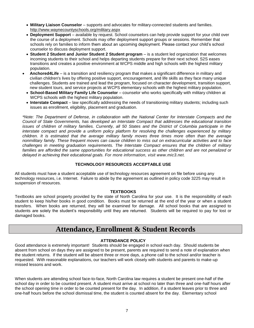- **Military Liaison Counselor** supports and advocates for military-connected students and families. <http://www.waynecountyschools.org/military.aspx>
- **Deployment Support** available by request. School counselors can help provide support for your child over the course of a deployment. Schools may offer deployment support groups or sessions. Remember that schools rely on families to inform them about an upcoming deployment. Please contact your child's school counselor to discuss deployment support.
- **Student 2 Student and Junior Student 2 Student program**  is a student led organization that welcomes incoming students to their school and helps departing students prepare for their next school. S2S eases transitions and creates a positive environment at WCPS middle and high schools with the highest military population.
- **Anchored4Life** is a transition and resiliency program that makes a significant difference in military and civilian children's lives by offering positive support, encouragement, and life skills as they face many unique challenges. Students are trained and lead the program, focused on character development, transition support, new student tours, and service projects at WCPS elementary schools with the highest military population.
- **School-Based Military Family Life Counselor** counselor who works specifically with military children at WCPS schools with the highest military population.
- **Interstate Compact** law specifically addressing the needs of transitioning military students; including such issues as enrollment, eligibility, placement and graduation.

*\*Note: The Department of Defense, in collaboration with the National Center for Interstate Compacts and the Council of State Governments, has developed an Interstate Compact that addresses the educational transition*  issues of children of military families. Currently, all 50 States and the District of Columbia participate in the *interstate compact and provide a uniform policy platform for resolving the challenges experienced by military children. It is estimated that the average military family moves three times more often than the average nonmilitary family. These frequent moves can cause children to miss out on extracurricular activities and to face challenges in meeting graduation requirements. The Interstate Compact ensures that the children of military*  families are afforded the same opportunities for educational success as other children and are not penalized or *delayed in achieving their educational goals. For more information, visit www.mic3.net.* 

#### **TECHNOLOGY RESOURCES ACCEPTABLE USE**

All students must have a student acceptable use of technology resources agreement on file before using any technology resources, i.e. Internet. Failure to abide by the agreement as outlined in policy code 3225 may result in suspension of resources.

#### **TEXTBOOKS**

Textbooks are school property provided by the state of North Carolina for your use. It is the responsibility of each student to keep his/her books in good condition. Books must be returned at the end of the year or when a student transfers. When books are returned, they will be examined for damage. All school books that are assigned to students are solely the student's responsibility until they are returned. Students will be required to pay for lost or damaged books.

### **Attendance, Enrollment & Student Records**

#### **ATTENDANCE POLICY**

Good attendance is extremely important! Students should be engaged in school each day. Should students be absent from school on days they are assigned to be present, parents are required to send a note of explanation when the student returns. If the student will be absent three or more days, a phone call to the school and/or teacher is requested. With reasonable explanations, our teachers will work closely with students and parents to make-up missed lessons and work.

When students are attending school face-to-face, North Carolina law requires a student be present one-half of the school day in order to be counted present. A student must arrive at school no later than three and one-half hours after the school opening time in order to be counted present for the day. In addition, if a student leaves prior to three and one-half hours before the school dismissal time, the student is counted absent for the day. Elementary school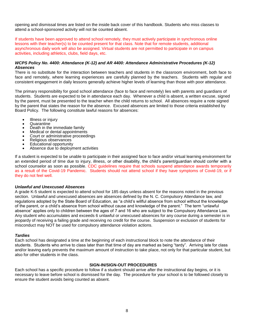opening and dismissal times are listed on the inside back cover of this handbook. Students who miss classes to attend a school-sponsored activity will not be counted absent.

If students have been approved to attend school remotely, they must actively participate in synchronous online lessons with their teacher(s) to be counted present for that class. Note that for remote students, additional asynchronous daily work will also be assigned. Virtual students are not permitted to participate in on campus activities, including athletics, clubs, field days, etc.

#### *WCPS Policy No. 4400: Attendance (K-12) and AR 4400: Attendance Administrative Procedures (K-12) Absences*

There is no substitute for the interaction between teachers and students in the classroom environment, both face to face and remotely, where learning experiences are carefully planned by the teachers. Students with regular and consistent engagement in daily lessons generally achieve higher levels of learning than those with poor attendance.

The primary responsibility for good school attendance (face to face and remotely) lies with parents and guardians of students. Students are expected to be in attendance each day. Whenever a child is absent, a written excuse, signed by the parent, must be presented to the teacher when the child returns to school. All absences require a note signed by the parent that states the reason for the absence. Excused absences are limited to those criteria established by Board Policy. The following constitute lawful reasons for absences:

- Illness or injury
- Quarantine
- Death in the immediate family
- Medical or dental appointments
- Court or administrative proceedings
- Religious observances
- Educational opportunity Absence due to deployment activities

If a student is expected to be unable to participate in their assigned face to face and/or virtual learning environment for an extended period of time due to injury, illness, or other disability, the child's parent/guardian should confer with a school counselor as soon as possible. CDC quidelines require that schools suspend attendance awards temporarily as a result of the Covid-19 Pandemic. Students should not attend school if they have symptoms of Covid-19, or if they do not feel well.

#### *Unlawful and Unexcused Absences*

A grade K-5 student is expected to attend school for 185 days unless absent for the reasons noted in the previous section. Unlawful and unexcused absences are absences defined by the N. C. Compulsory Attendance law, and regulations adopted by the State Board of Education, as "a child's willful absence from school without the knowledge of the parent, or a child's absence from school without cause and knowledge of the parent." The term "unlawful absence" applies only to children between the ages of 7 and 16 who are subject to the Compulsory Attendance Law. Any student who accumulates and exceeds 6 unlawful or unexcused absences for any course during a semester is in jeopardy of receiving a failing grade and receiving no credit for the course. Suspension or exclusion of students for misconduct may NOT be used for compulsory attendance violation actions.

#### *Tardies*

Each school has designated a time at the beginning of each instructional block to note the attendance of their students. Students who arrive to class later than that time of day are marked as being "tardy". Arriving late for class and/or leaving early prevents the maximum amount of instruction to take place, not only for that particular student, but also for other students in the class.

#### **SIGN-IN/SIGN-OUT PROCEDURES**

Each school has a specific procedure to follow if a student should arrive after the instructional day begins, or it is necessary to leave before school is dismissed for the day. The procedure for your school is to be followed closely to ensure the student avoids being counted as absent.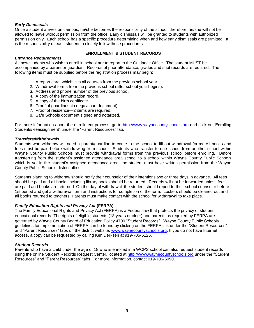#### *Early Dismissals*

Once a student arrives on campus, he/she becomes the responsibility of the school; therefore, he/she will not be allowed to leave without permission from the office. Early dismissals will be granted to students with authorized permission only. Each school has a specific procedure determining when and how early dismissals are permitted. It is the responsibility of each student to closely follow these procedures.

#### **ENROLLMENT & STUDENT RECORDS**

#### *Entrance Requirements*

All new students who wish to enroll in school are to report to the Guidance Office. The student MUST be accompanied by a parent or guardian. Records of prior attendance, grades and shot records are required. The following items must be supplied before the registration process may begin:

- 1. A report card, which lists all courses from the previous school year.
- 2. Withdrawal forms from the previous school (after school year begins).
- 3. Address and phone number of the previous school.
- 4. A copy of the immunization record.
- 5. A copy of the birth certificate.
- 6. Proof of guardianship (legal/court document).
- 7. Proof of residence—2 items are required.
- 8. Safe Schools document signed and notarized.

For more information about the enrollment process, go to [http://www.waynecountyschools.org](http://www.waynecountyschools.org/) and click on "Enrolling Students/Reassignment" under the "Parent Resources" tab.

#### *Transfers/Withdrawals*

Students who withdraw will need a parent/guardian to come to the school to fill out withdrawal forms. All books and fees must be paid before withdrawing from school.Students who transfer to one school from another school within Wayne County Public Schools must provide withdrawal forms from the previous school before enrolling**.** Before transferring from the student's assigned attendance area school to a school within Wayne County Public Schools which is *not* in the student's assigned attendance area, the student must have written permission from the Wayne County Public Schools district office.

Students planning to withdraw should notify their counselor of their intentions two or three days in advance. All fees should be paid and all books including library books should be returned. Records will not be forwarded unless fees are paid and books are returned. On the day of withdrawal, the student should report to their school counselor before 1st period and get a withdrawal form and instructions for completion of the form. Lockers should be cleaned out and all books returned to teachers. Parents must make contact with the school for withdrawal to take place.

#### *Family Education Rights and Privacy Act* **(FERPA)**

The Family Educational Rights and Privacy Act (FERPA) is a Federal law that protects the privacy of student educational records. The rights of eligible students (18 years or older) and parents as required by FERPA are governed by Wayne County Board of Education Policy 4700 "Student Records". Wayne County Public Schools guidelines for implementation of FERPA can be found by clicking on the FERPA link under the "Student Resources" and "Parent Resources" tabs on the district website: [www.waynecountyschools.org.](file:///C:/Users/5426996741/Videos/Desktop/handbooks/www.waynecountyschools.org) If you do not have Internet access, a copy can be requested by calling Ken Derksen at 919-705-6125.

#### *Student Records*

Parents who have a child under the age of 18 who is enrolled in a WCPS school can also request student records using the online Student Records Request Center, located at [http://www.waynecountyschools.org](http://www.waynecountyschools.org/) under the "Student Resources" and "Parent Resources" tabs. For more information, contact 919-705-6090.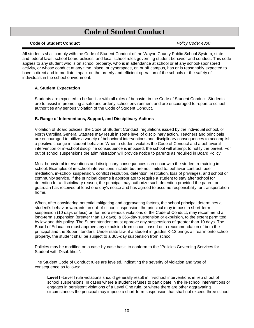# **Code of Student Conduct**

#### **Code of Student Conduct** *Policy Code: 4300*

All students shall comply with the Code of Student Conduct of the Wayne County Public School System, state and federal laws, school board policies, and local school rules governing student behavior and conduct. This code applies to any student who is on school property, who is in attendance at school or at any school-sponsored activity, or whose conduct at any time, place, or cyberspace, on or off campus, has or is reasonably expected to have a direct and immediate impact on the orderly and efficient operation of the schools or the safety of individuals in the school environment.

#### **A. Student Expectation**

Students are expected to be familiar with all rules of behavior in the Code of Student Conduct. Students are to assist in promoting a safe and orderly school environment and are encouraged to report to school authorities any serious violation of the Code of Student Conduct.

#### **B. Range of Interventions, Support, and Disciplinary Actions**

Violation of Board policies, the Code of Student Conduct, regulations issued by the individual school, or North Carolina General Statutes may result in some level of disciplinary action. Teachers and principals are encouraged to utilize a variety of behavioral interventions and disciplinary consequences to accomplish a positive change in student behavior. When a student violates the Code of Conduct and a behavioral intervention or in-school discipline consequence is imposed, the school will attempt to notify the parent. For out of school suspensions the administration will provide notice to parents as required in Board Policy.

Most behavioral interventions and disciplinary consequences can occur with the student remaining in school. Examples of in-school interventions include but are not limited to: behavior contract, peer mediation, in-school suspension, conflict resolution, detention, restitution, loss of privileges, and school or community service. If the principal deems it appropriate to require a student to stay after school for detention for a disciplinary reason, the principal may authorize such detention provided the parent or guardian has received at least one day's notice and has agreed to assume responsibility for transportation home.

When, after considering potential mitigating and aggravating factors, the school principal determines a student's behavior warrants an out-of-school suspension, the principal may impose a short-term suspension (10 days or less) or, for more serious violations of the Code of Conduct, may recommend a long-term suspension (greater than 10 days), a 365-day suspension or expulsion, to the extent permitted by law and this policy. The Superintendent must approve any suspensions of greater than 10 days. The Board of Education must approve any expulsion from school based on a recommendation of both the principal and the Superintendent. Under state law, if a student in grades K-12 brings a firearm onto school property, the student shall be subject to a 365-day suspension from school.

Policies may be modified on a case-by-case basis to conform to the "Policies Governing Services for Student with Disabilities".

The Student Code of Conduct rules are leveled, indicating the severity of violation and type of consequence as follows:

**Level I** -Level I rule violations should generally result in in-school interventions in lieu of out of school suspensions. In cases where a student refuses to participate in the in-school interventions or engages in persistent violations of a Level One rule, or where there are other aggravating circumstances the principal may impose a short-term suspension that shall not exceed three school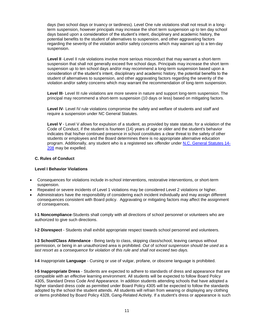days (two school days or truancy or tardiness). Level One rule violations shall not result in a longterm suspension, however principals may increase the short term suspension up to ten day school days based upon a consideration of the student's intent, disciplinary and academic history, the potential benefits to the student of alternatives to suspension, and other aggravating factors regarding the severity of the violation and/or safety concerns which may warrant up to a ten-day suspension.

**Level II** -Level II rule violations involve more serious misconduct that may warrant a short-term suspension that shall not generally exceed five school days. Principals may increase the short term suspension up to ten school days and/or may recommend a long-term suspension based upon a consideration of the student's intent, disciplinary and academic history, the potential benefits to the student of alternatives to suspension, and other aggravating factors regarding the severity of the violation and/or safety concerns which may warrant the recommendation of long-term suspension.

**Level III**- Level III rule violations are more severe in nature and support long-term suspension. The principal may recommend a short-term suspension (10 days or less) based on mitigating factors.

**Level IV**- Level IV rule violations compromise the safety and welfare of students and *staff* and require a suspension under NC General Statutes.

**Level V** - Level V allows for expulsion of a student, as provided by state statute, for a violation of the Code of Conduct, if the student is fourteen (14) years of age or older and the student's behavior indicates that his/her continued presence in school constitutes a clear threat to the safety of other students or employees and the Board determines there is no appropriate alternative education program. Additionally, any student who is a registered sex *offender* under [N.C. General Statutes 14-](http://redirector.microscribepub.com/?cat=stat&loc=nc&id=14&spec=208) [208](http://redirector.microscribepub.com/?cat=stat&loc=nc&id=14&spec=208) may be expelled.

#### **C. Rules of Conduct**

#### **Level I Behavior Violations**

- Consequences for violations include in-school interventions, restorative interventions, or short-term suspension.
- Repeated or severe incidents of Level 1 violations may be considered Level 2 violations or higher.
- Administrators have the responsibility of considering each incident individually and may assign different consequences consistent with Board policy. Aggravating or mitigating factors may affect the assignment of consequences.

**I-1 Noncompliance**-Students shall comply with all directions of school personnel or volunteers who are authorized to give such directions.

**I-2 Disrespect** - Students shall exhibit appropriate respect towards school personnel and volunteers.

**I-3 School/Class Attendance** - Being tardy to class, skipping class/school, leaving campus without permission, or being in an unauthorized area is prohibited. *Out* of *school suspension should be used as* a *last resort as* a *consequence for violation* of *this rule and shall not exceed two days.*

**I-4** Inappropriate **Language** - Cursing or use of vulgar, profane, or obscene language is prohibited.

**I-5 Inappropriate Dress** - Students are expected to adhere to standards of dress and appearance that are compatible with an *effective* learning environment. All students will be expected to follow Board Policy 4305, Standard Dress Code And Appearance. In addition students attending schools that have adopted a higher standard dress code as permitted under Board Policy 4305 will be expected to follow the standards adopted by the school the student attends. All students will refrain from wearing or displaying any clothing or items prohibited by Board Policy 4328, Gang-Related Activity. If a student's dress or appearance is such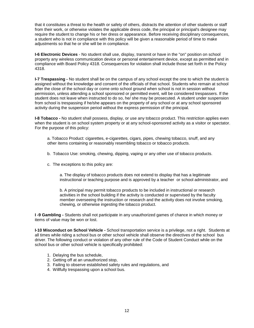that it constitutes a threat to the health or safety of others, distracts the attention of other students or staff from their work, or otherwise violates the applicable dress code, the principal or principal's designee may require the student to change his or her dress or appearance. Before receiving disciplinary consequences, a student who is not in compliance with this policy will be given a reasonable period of time to make adjustments so that he or she will be in compliance.

**I-6 Electronic Devices** - No student shall use, display, transmit or have in the "on" position on school property any wireless communication device or personal entertainment device, except as permitted and in compliance with Board Policy 4318. Consequences for violation shall include those set forth in the Policy 4318.

**I-7 Trespassing -** No student shall be on the campus of any school except the one to which the student is assigned without the knowledge and consent of the officials of that school. Students who remain at school after the close of the school day or come onto school ground when school is not in session without permission, unless attending a school sponsored or permitted event, will be considered trespassers. If the student does not leave when instructed to do so, he/ she may be prosecuted. A student under suspension from school is trespassing if he/she appears on the property of any school or at any school sponsored activity during the suspension period without the express permission of the principal.

**I-8 Tobacco -** No student shall possess, display, or use any tobacco product. This restriction applies even when the student is on school system property or at any school-sponsored activity as a visitor or spectator. For the purpose of this policy:

a. Tobacco Product: cigarettes, e-cigarettes, cigars, pipes, chewing tobacco, snuff, and any other items containing or reasonably resembling tobacco or tobacco products.

- b. Tobacco Use: smoking, chewing, dipping, vaping or any other use of tobacco products.
- c. The exceptions to this policy are:

a. The display of tobacco products does not extend to display that has a legitimate instructional or teaching purpose and is approved by a teacher or school administrator, and

b. A principal may permit tobacco products to be included in instructional or research activities in the school building if the activity is conducted or supervised by the faculty member overseeing the instruction or research and the activity does not involve smoking, chewing, or otherwise ingesting the tobacco product.

**I -9 Gambling -** Students shall not participate in any unauthorized games of chance in which money or items of value may be won or lost.

**I-10 Misconduct on School Vehicle -** School transportation service is a privilege, not a right. Students at all times while riding a school bus or other school vehicle shall observe the directives of the school bus driver. The following conduct or violation of any other rule of the Code of Student Conduct while on the school bus or other school vehicle is specifically prohibited:

- 1. Delaying the bus schedule,
- 2. Getting off at an unauthorized stop,
- 3. Failing to observe established safety rules and regulations, and
- 4. Willfully trespassing upon a school bus.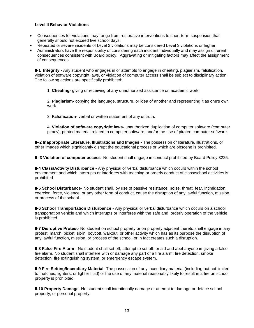#### **Level II Behavior Violations**

- Consequences for violations may range from restorative interventions to short-term suspension that generally should not exceed five school days.
- Repeated or severe incidents of Level 2 violations may be considered Level 3 violations or higher.
- Administrators have the responsibility of considering each incident individually and may assign different consequences consistent with Board policy. Aggravating or mitigating factors may affect the assignment of consequences.

**II-1 Integrity -** Any student who engages in or attempts to engage in cheating, plagiarism, falsification, violation of software copyright laws, or violation of computer access shall be subject to disciplinary action. The following actions are specifically prohibited:

1. **Cheating-** giving or receiving of any unauthorized assistance on academic work.

2. **Plagiarism-** copying the language, structure, or idea of another and representing it as one's own work.

3. **Falsification-** verbal or written statement of any untruth.

4. **Violation of software copyright laws-** unauthorized duplication of computer software (computer piracy), printed material related to computer software, and/or the use of pirated computer software.

**II–2 Inappropriate Literature, Illustrations and Images -** The possession of literature, illustrations, or other images which significantly disrupt the educational process or which are obscene is prohibited.

**II -3 Violation of computer access-** No student shall engage in conduct prohibited by Board Policy 3225.

**II-4 Class/Activity Disturbance -** Any physical or verbal disturbance which occurs within the school environment and which interrupts or interferes with teaching or orderly conduct of class/school activities is prohibited.

**II-5 School Disturbance**- No student shall, by use of passive resistance, noise, threat, fear, intimidation, coercion, force, violence, or any other form of conduct, cause the disruption of any lawful function, mission, or process of the school.

**II-6 School Transportation Disturbance** - Any physical or verbal disturbance which occurs on a school transportation vehicle and which interrupts or interferes with the safe and orderly operation of the vehicle is prohibited.

**II-7 Disruptive Protest**- No student on school property or on property adjacent thereto shall engage in any protest, march, picket, sit-in, boycott, walkout, or other activity which has as its purpose the disruption of any lawful function, mission, or process of the school, or in fact creates such a disruption.

**II-8 False Fire Alarm** - No student shall set off, attempt to set off, or aid and abet anyone in giving a false fire alarm. No student shall interfere with or damage any part of a fire alarm, fire detection, smoke detection, fire extinguishing system, or emergency escape system.

**II-9 Fire Setting/Incendiary Material**- The possession of any incendiary material (including but not limited to matches, lighters, or lighter fluid) or the use of any material reasonably likely to result in a fire on school property is prohibited.

**II-10 Property Damage**- No student shall intentionally damage or attempt to damage or deface school property, or personal property.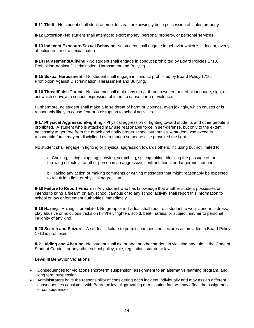**II-11 Theft** - No student shall steal, attempt to steal, or knowingly be in possession of stolen property.

**II-12 Extortion**- No student shall attempt to extort money, personal property, or personal services.

**II-13 Indecent Exposure/Sexual Behavior**- No student shall engage in behavior which is indecent, overly affectionate, or of a sexual nature.

**II-14 Harassment/Bullying** - No student shall engage in conduct prohibited by Board Policies 1710, Prohibition Against Discrimination, Harassment and Bullying.

**II-15 Sexual Harassment** - No student shall engage in conduct prohibited by Board Policy 1710, Prohibition Against Discrimination, Harassment and Bullying.

**II-16 Threat/False Threat** - No student shall make any threat through written or verbal language, sign, or act which conveys a serious expression of intent to cause harm or violence.

Furthermore, no student shall make a false threat of harm or violence, even jokingly, which causes or is reasonably likely to cause fear or a disruption to school activities.

**II-17 Physical Aggression/Fighting** - Physical aggression or fighting toward students and other people is prohibited. A student who is attacked may use reasonable force in self-defense, but only to the extent necessary to get free from the attack and notify proper school authorities. A student who exceeds reasonable force may be disciplined even though someone else provoked the fight.

No student shall engage in fighting or physical aggression towards others, including but not limited to:

a. Choking, hitting, slapping, shoving, scratching, spitting, biting, blocking the passage of, or throwing objects at another person in an aggressive, confrontational or dangerous manner.

b. Taking any action or making comments or writing messages that might reasonably be expected to result in a fight or physical aggression.

**II-18 Failure to Report Firearm** - Any student who has knowledge that another student possesses or intends to bring a firearm on any school campus or to any school activity shall report this information to school or law enforcement authorities immediately.

**II-19 Hazing** - Hazing is prohibited. No group or individual shall require a student to wear abnormal dress, play abusive or ridiculous tricks on him/her, frighten, scold, beat, harass, or subject him/her to personal indignity of any kind.

**II-20 Search and Seizure** - A student's failure to permit searches and seizures as provided in Board Policy 1710 is prohibited.

**II-21 Aiding and Abetting**- No student shall aid or abet another student in violating any rule in the Code of Student Conduct or any other school policy, rule, regulation, statute or law.

#### **Level III Behavior Violations**

- Consequences for violations short-term suspension, assignment to an alternative learning program, and long term suspension.
- Administrators have the responsibility of considering each incident individually and may assign different consequences consistent with Board policy. Aggravating or mitigating factors may affect the assignment of consequences.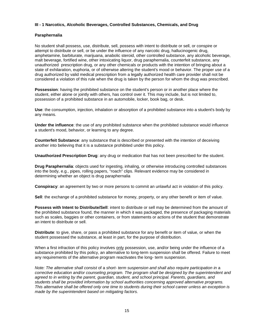#### **III - 1 Narcotics, Alcoholic Beverages, Controlled Substances, Chemicals, and Drug**

#### **Paraphernalia**

No student shall possess, use, distribute, sell, possess with intent to distribute or sell, or conspire or attempt to distribute or sell, or be under the influence of any narcotic drug, hallucinogenic drug, amphetamine, barbiturate, marijuana, anabolic steroid, other controlled substance, any alcoholic beverage, malt beverage, fortified wine, other intoxicating liquor, drug paraphernalia, counterfeit substance, any unauthorized prescription drug, or any other chemicals or products with the intention of bringing about a state of exhilaration, euphoria, or of otherwise altering the student's mood or behavior. The proper use of a drug authorized by valid medical prescription from a legally authorized health care provider shall not be considered a violation of this rule when the drug is taken by the person for whom the drug was prescribed.

**Possession**: having the prohibited substance on the student's person or in another place where the student, either alone or jointly with others, has control over it. This may include, but is not limited to, possession of a prohibited substance in an automobile, locker, book bag, or desk.

**Use**: the consumption, injection, inhalation or absorption of a prohibited substance into a student's body by any means.

**Under the influence**: the use of any prohibited substance when the prohibited substance would influence a student's mood, behavior, or learning to any degree.

**Counterfeit Substance**: any substance that is described or presented with the intention of deceiving another into believing that it is a substance prohibited under this policy.

**Unauthorized Prescription Drug**: any drug or medication that has not been prescribed for the student.

**Drug Paraphernalia**: objects used for ingesting, inhaling, or otherwise introducing controlled substances into the body, e.g., pipes, rolling papers, "roach" clips. Relevant evidence may be considered in determining whether an object is drug paraphernalia

**Conspiracy**: an agreement by two or more persons to commit an unlawful act in violation of this policy.

**Sell**: the exchange of a prohibited substance for money, property, or any other benefit or item of value.

**Possess with Intent to Distribute/Sell**: intent to distribute or sell may be determined from the amount of the prohibited substance found, the manner in which it was packaged, the presence of packaging materials such as scales, baggies or other containers, or from statements or actions of the student that demonstrate an intent to distribute or sell.

**Distribute**: to give, share, or pass a prohibited substance for any benefit or item of value, or when the student possessed the substance, at least in part, for the purpose of distribution.

When a first infraction of this policy involves only possession, use, and/or being under the influence of a substance prohibited by this policy, an alternative to long-term suspension shall be offered. Failure to meet any requirements of the alternative program reactivates the long- term suspension.

*Note: The alternative shall consist* of a *short- term suspension and shall also require participation in* a *corrective education and/or counseling program. The program shall be designed by the superintendent and agreed to in writing by the parent, guardian, student, and school principal. Parents, guardians, and students shall be provided information by school authorities concerning approved alternative programs. This alternative shall be offered only one time to students during their school career unless an exception is made by the superintendent based on mitigating factors.*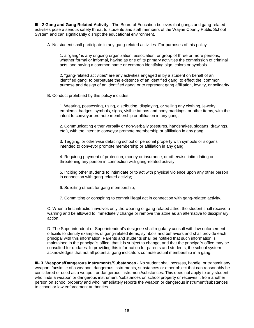**III - 2 Gang and Gang Related Activity** - The Board of Education believes that gangs and gang-related activities pose a serious safety threat to students and staff members of the Wayne County Public School System and can significantly disrupt the educational environment.

A. No student shall participate in any gang-related activities. For purposes of this policy:

1. a "gang" is any ongoing organization, association, or group of three or more persons, whether formal or informal, having as one of its primary activities the commission of criminal acts, and having a common name or common identifying sign, colors or symbols.

2. "gang-related activities" are any activities engaged in by a student on behalf of an identified gang; to perpetuate the existence of an identified gang; to effect the. common purpose and design of an identified gang; or to represent gang affiliation, loyalty, or solidarity.

B. Conduct prohibited by this policy includes:

1. Wearing, possessing, using, distributing, displaying, or selling any clothing, jewelry, emblems, badges, symbols, signs, visible tattoos and body markings, or other items, with the intent to conveyor promote membership or affiliation in any gang;

2. Communicating either verbally or non-verbally (gestures, handshakes, slogans, drawings, etc.), with the intent to conveyor promote membership or affiliation in any gang;

3. Tagging, or otherwise defacing school or personal property with symbols or slogans intended to conveyor promote membership or affiliation in any gang;

4. Requiring payment of protection, money or insurance, or otherwise intimidating or threatening any person in connection with gang-related activity;

5. Inciting other students to intimidate or to act with physical violence upon any other person in connection with gang-related activity;

- 6. Soliciting others for gang membership;
- 7. Committing or conspiring to commit illegal act in connection with gang-related activity.

C. When a first infraction involves only the wearing of gang-related attire, the student shall receive a warning and be allowed to immediately change or remove the attire as an alternative to disciplinary action.

D. The Superintendent or Superintendent's designee shall regularly consult with law enforcement officials to identify examples of gang-related items, symbols and behaviors and shall provide each principal with this information. Parents and students shall be notified that such information is maintained in the principal's office, that it is subject to change, and that the principal's office may be consulted for updates. In providing this information for parents and students, the school system acknowledges that not all potential gang indicators connote actual membership in a gang.

**III- 3 Weapons/Dangerous Instruments/Substances** - No student shall possess, handle, or transmit any weapon, facsimile of a weapon, dangerous instruments, substances or other object that can reasonably be considered or used as a weapon or dangerous instrument/substances. This does not apply to any student who finds a weapon or dangerous instrument /substances on school property or receives it from another person on school property and who immediately reports the weapon or dangerous instrument/substances to school or law enforcement authorities.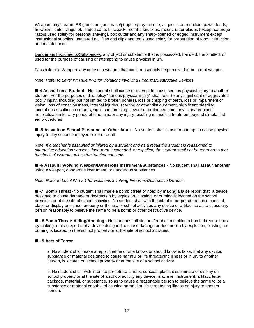Weapon: any firearm, BB gun, stun gun, mace/pepper spray, air rifle, air pistol, ammunition, power loads, fireworks, knife, slingshot, leaded cane, blackjack, metallic knuckles, razors, razor blades (except cartridge razors used solely for personal shaving), box cutter and any sharp-pointed or edged instrument except instructional supplies, unaltered nail files and clips and tools used solely for preparation of food, instruction, and maintenance.

Dangerous Instruments/Substances: any object or substance that is possessed, handled, transmitted, or used for the purpose of causing or attempting to cause physical injury.

Facsimile of a Weapon: any copy of a weapon that could reasonably be perceived to be a real weapon.

*Note: Refer* to *Level IV: Rule IV-1 for violations involving Firearms/Destructive* Devices.

**III-4 Assault on a Student** - No student shall cause or attempt to cause serious physical injury to another student. For the purposes of this policy "serious physical injury" shall refer to any significant or aggravated bodily injury, including but not limited to broken bone(s), loss or chipping of teeth, loss or impairment of vision, loss of consciousness, internal injuries, scarring or other disfigurement, significant bleeding, lacerations resulting in sutures, significant bruising, severe or prolonged pain, any injury requiring hospitalization for any period of time, and/or any injury resulting in medical treatment beyond simple first aid procedures.

**III -5 Assault on School Personnel or Other Adult** - No student shall cause or attempt to cause physical injury to any school employee or other adult.

Note: *If a teacher is assaulted or injured by a student and as a result the student is reassigned to alternative education services, long-term suspended, or expelled, the student shall not be returned* to *that teacher's classroom unless the teacher consents.*

**III -6 Assault Involving Weapon/Dangerous Instrument/Substances** - No student shall assault **another** using a weapon, dangerous instrument, or dangerous substances.

*Note: Refer to Level IV: IV-1 for violations involving Firearms/Destructive Devices.*

**III -7 Bomb Threat** -No student shall make a bomb threat or hoax by making a false report that a device designed to cause damage or destruction by explosion, blasting, or burning is located on the school premises or at the site of school activities. No student shall with the intent to perpetrate a hoax, conceal, place or display on school property or the site of school activities any device or artifact so as to cause any person reasonably to believe the same to be a bomb or other destructive device.

**III - 8 Bomb Threat: Aiding/Abetting** - No student shall aid, and/or abet in making a bomb threat or hoax by making a false report that a device designed to cause damage or destruction by explosion, blasting, or burning is located on the school property or at the site of school activities.

#### **III - 9 Acts of Terror**-

a. No student shall make a report that he or she knows or should know is false, that any device, substance or material designed to cause harmful or life threatening illness or injury to another person, is located on school property or at the site of a school activity.

b. No student shall, with intent to perpetrate a hoax, conceal, place, disseminate or display on school property or at the site of a school activity any device, machine, instrument, artifact, letter, package, material, or substance, so as to cause a reasonable person to believe the same to be a substance or material capable of causing harmful or life-threatening illness or injury to another person.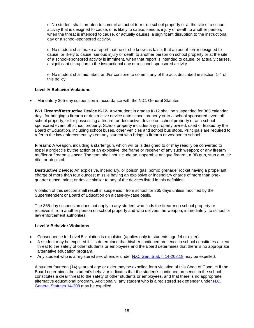c. No student shall threaten to commit an act of terror on school property or at the site of a school activity that is designed to cause, or is likely to cause, serious injury or death to another person, when the threat is intended to cause, or actually causes, a significant disruption to the instructional day or a school-sponsored activity.

d. No student shall make a report that he or she knows is false, that an act of terror designed to cause, or likely to cause, serious injury or death to another person on school property or at the site of a school-sponsored activity is imminent, when that report is intended to cause, or actually causes, a significant disruption to the instructional day or a school-sponsored activity.

e. No student shall aid, abet, and/or conspire to commit any of the acts described in section 1-4 of this policy.

#### **Level IV Behavior Violations**

Mandatory 365-day suspension in accordance with the N.C. General Statutes

**IV-1 Firearm/Destructive Device K-12**- Any student in grades K-12 shall be suspended for 365 calendar days for bringing a firearm or destructive device onto school property or to a school sponsored event off school property, or for possessing a firearm or destructive device on school property or at a schoolsponsored event off school property. School property includes any property owned, used or leased by the Board of Education, including school buses, other vehicles and school bus stops. Principals are required to refer to the law enforcement system any student who brings a firearm or weapon to school.

**Firearm**: A weapon, including a starter gun, which will or is designed to or may readily be converted to expel a projectile by the action of an explosive; the frame or receiver of any such weapon; or any firearm muffler or firearm silencer. The term shall not include an inoperable antique firearm, a BB gun, stun gun, air rifle, or air pistol.

**Destructive Device:** An explosive, incendiary, or poison gas; bomb; grenade; rocket having a propellant charge of more than four ounces; missile having an explosive or incendiary charge of more than onequarter ounce; mine; or device similar to any of the devices listed in this definition.

Violation of this section shall result in suspension from school for 365 days unless modified by the Superintendent or Board of Education on a case-by-case basis.

The 365-day suspension does not apply to any student who finds the firearm on school property or receives it from another person on school property and who delivers the weapon, immediately, to school or law enforcement authorities.

#### **Level V Behavior Violations**

- Consequence for Level 5 violation is expulsion (applies only to students age 14 or older).
- A student may be expelled if it is determined that his/her continued presence in school constitutes a clear threat to the safety of other students or employees and the Board determines that there is no appropriate alternative education program.
- Any student who is a registered sex offender under [N.C. Gen. Stat. § 14-208.18](http://redirector.microscribepub.com/?cat=stat&loc=nc&id=14&spec=208.18) may be expelled.

A student fourteen (14) years of age or older may be expelled for a violation of this Code of Conduct if the Board determines the student's behavior indicates that the student's continued presence in the school constitutes a clear threat to the safety of other students or employees, and that there is no appropriate alternative educational program. Additionally, any student who is a registered sex offender under [N.C.](http://redirector.microscribepub.com/?cat=stat&loc=nc&id=14&spec=208)  [General Statutes 14-208](http://redirector.microscribepub.com/?cat=stat&loc=nc&id=14&spec=208) may be expelled.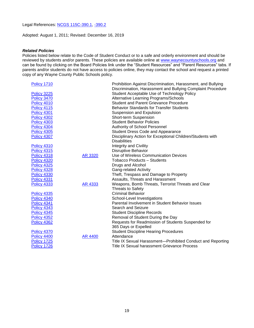Legal References: [NCGS 115C-390.1,](http://redirector.microscribepub.com/?cat=stat&loc=nc&id=115c&spec=390.1) [-390.2](http://redirector.microscribepub.com/?cat=stat&loc=nc&id=115c&spec=390.2)

Adopted: August 1, 2011; Revised: December 16, 2019

#### *Related Policies*

Policies listed below relate to the Code of Student Conduct or to a safe and orderly environment and should be reviewed by students and/or parents. These policies are available online at [www.waynecountyschools.org](file:///C:/Users/5426996741/Videos/Desktop/handbooks/www.waynecountyschools.org) and can be found by clicking on the Board Policies link under the "Student Resources" and "Parent Resources" tabs. If parents and/or students do not have access to policies online, they may contact the school and request a printed copy of any Wayne County Public Schools policy.

| Policy 1710        |                | Prohibition Against Discrimination, Harassment, and Bullying |
|--------------------|----------------|--------------------------------------------------------------|
|                    |                | Discrimination, Harassment and Bullying Complaint Procedure  |
| <b>Policy 3225</b> |                | Student Acceptable Use of Technology Policy                  |
| <b>Policy 3470</b> |                | Alternative Learning Programs/Schools                        |
| Policy 4010        |                | <b>Student and Parent Grievance Procedure</b>                |
| Policy 4115        |                | <b>Behavior Standards for Transfer Students</b>              |
| <b>Policy 4301</b> |                | Suspension and Expulsion                                     |
| Policy 4302        |                | Short-term Suspension                                        |
| <b>Policy 4303</b> |                | <b>Student Behavior Policies</b>                             |
| Policy 4304        |                | Authority of School Personnel                                |
| <b>Policy 4305</b> |                | <b>Student Dress Code and Appearance</b>                     |
| Policy 4307        |                | Disciplinary Action for Exceptional Children/Students with   |
|                    |                | <b>Disabilities</b>                                          |
| <b>Policy 4310</b> |                | Integrity and Civility                                       |
| <b>Policy 4315</b> |                | <b>Disruptive Behavior</b>                                   |
| Policy 4318        | <b>AR 3320</b> | Use of Wireless Communication Devices                        |
| <b>Policy 4320</b> |                | <b>Tobacco Products - Students</b>                           |
| <b>Policy 4325</b> |                | Drugs and Alcohol                                            |
| Policy 4328        |                | <b>Gang-related Activity</b>                                 |
| <b>Policy 4330</b> |                | Theft, Trespass and Damage to Property                       |
| <b>Policy 4331</b> |                | Assaults, Threats and Harassment                             |
| <b>Policy 4333</b> | AR 4333        | Weapons, Bomb Threats, Terrorist Threats and Clear           |
|                    |                | <b>Threats to Safety</b>                                     |
| <b>Policy 4335</b> |                | <b>Criminal Behavior</b>                                     |
| Policy 4340        |                | School-Level Investigations                                  |
| Policy 4341        |                | Parental Involvement in Student Behavior Issues              |
| <b>Policy 4343</b> |                | Search and Seizure                                           |
| <b>Policy 4345</b> |                | <b>Student Discipline Records</b>                            |
| Policy 4352        |                | Removal of Student During the Day                            |
| Policy 4362        |                | Requests for Readmission of Students Suspended for           |
|                    |                | 365 Days or Expelled                                         |
| <b>Policy 4370</b> |                | <b>Student Discipline Hearing Procedures</b>                 |
| Policy 4400        | AR 4400        | Attendance                                                   |
| Policy 1725        |                | Title IX Sexual Harassment-Prohibited Conduct and Reporting  |
| Policy 1726        |                | <b>Title IX Sexual harassment Grievance Process</b>          |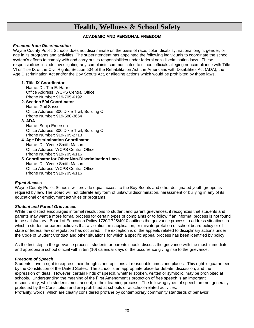# **Health, Wellness & School Safety**

#### **ACADEMIC AND PERSONAL FREEDOM**

#### *Freedom from Discrimination*

Wayne County Public Schools does not discriminate on the basis of race, color, disability, national origin, gender, or age in its programs and activities. The superintendent has appointed the following individuals to coordinate the school system's efforts to comply with and carry out its responsibilities under federal non-discrimination laws. These responsibilities include investigating any complaints communicated to school officials alleging noncompliance with Title VI or Title IX of the Civil Rights, Section 504 of the Rehabilitation Act, the Americans with Disabilities Act (ADA), the Age Discrimination Act and/or the Boy Scouts Act, or alleging actions which would be prohibited by those laws.

#### **1. Title IX Coordinator**

 Name: Dr. Tim E. Harrell Office Address: WCPS Central Office Phone Number: 919-705-6192

#### **2. Section 504 Coordinator** Name: Gail Sasser Office Address: 300 Dixie Trail, Building O Phone Number: 919-580-3664

#### **3. ADA**

 Name: Sonja Emerson Office Address: 300 Dixie Trail, Building O Phone Number: 919-705-2713

**4. Age Discrimination Coordinator** Name: Dr. Yvette Smith Mason Office Address: WCPS Central Office Phone Number: 919-705-6116

#### **5. Coordinator for Other Non-Discrimination Laws** Name: Dr. Yvette Smith Mason Office Address: WCPS Central Office Phone Number: 919-705-6116

#### *Equal Access*

Wayne County Public Schools will provide equal access to the Boy Scouts and other designated youth groups as required by law. The Board will not tolerate any form of unlawful discrimination, harassment or bullying in any of its educational or employment activities or programs.

#### *Student and Parent Grievances*

While the district encourages informal resolutions to student and parent grievances, it recognizes that students and parents may want a more formal process for certain types of complaints or to follow if an informal process is not found to be satisfactory. Board of Education Policy 1720/1725/4010 outlines the grievance process to address situations in which a student or parent believes that a violation, misapplication, or misinterpretation of school board policy or of state or federal law or regulation has occurred. The exception is of the appeals related to disciplinary actions under the Code of Student Conduct and other situations for which a specific appeal process has been identified by policy.

As the first step in the grievance process, students or parents should discuss the grievance with the most immediate and appropriate school official within ten (10) calendar days of the occurrence giving rise to the grievance.

#### *Freedom of Speech*

Students have a right to express their thoughts and opinions at reasonable times and places. This right is guaranteed by the Constitution of the United States. The school is an appropriate place for debate, discussion, and the expression of ideas. However, certain kinds of speech, whether spoken, written or symbolic, may be prohibited at schools. Understanding the meaning of the First Amendment's protection of free speech is an important responsibility, which students must accept, in their learning process. The following types of speech are not generally protected by the Constitution and are prohibited at schools or at school-related activities:

Profanity: words, which are clearly considered profane by contemporary community standards of behavior;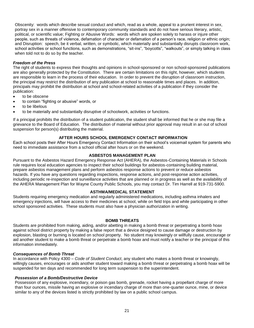Obscenity: words which describe sexual conduct and which, read as a whole, appeal to a prurient interest in sex, portray sex in a manner offensive to contemporary community standards and do not have serious literary, artistic, political, or scientific value; Fighting or Abusive Words: words which are spoken solely to harass or injure other people, such as threats of violence, defamation of character or defamation of a person's race, religion or ethnic origin; and Disruption: speech, be it verbal, written, or symbolic, which materially and substantially disrupts classroom work, school activities or school functions, such as demonstrations, "sit-ins", "boycotts", "walkouts", or simply talking in class when told not to do so by the teacher.

#### *Freedom of the Press*

The right of students to express their thoughts and opinions in school-sponsored or non school-sponsored publications are also generally protected by the Constitution. There are certain limitations on this right, however, which students are responsible to learn in the process of their education. In order to prevent the disruption of classroom instruction, the principal may restrict the distribution of any publication at school to reasonable times and places. In addition, principals may prohibit the distribution at school and school-related activities of a publication if they consider the publication:

- to be obscene
- to contain "fighting or abusive" words, or
- to be libelous
- to be materially and substantially disruptive of schoolwork, activities or functions.

If a principal prohibits the distribution of a student publication, the student shall be informed that he or she may file a grievance to the Board of Education. The distribution of material without prior approval may result in an out of school suspension for person(s) distributing the material.

#### **AFTER HOURS SCHOOL EMERGENCY CONTACT INFORMATION**

Each school posts their After Hours Emergency Contact Information on their school's voicemail system for parents who need to immediate assistance from a school official after hours or on the weekend.

#### **ASBESTOS MANAGEMENT PLAN**

Pursuant to the Asbestos Hazard Emergency Response Act (AHERA), the Asbestos-Containing Materials in Schools rule requires local education agencies to inspect their school buildings for asbestos-containing building material, prepare asbestos management plans and perform asbestos response actions to prevent or reduce asbestos hazards. If you have any questions regarding inspections, response actions, and post-response action activities, including periodic re-inspection and surveillance activities that are planned or in progress as well as the availability of the AHERA Management Plan for Wayne County Public Schools, you may contact Dr. Tim Harrell at 919-731-5900.

#### **ASTHMA/MEDICAL STATEMENT**

Students requiring emergency medication and regularly administered medications, including asthma inhalers and emergency injections, will have access to their medicines at school, while on field trips and while participating in other school sponsored activities. These students must also have a physician authorization in writing.

#### **BOMB THREATS**

Students are prohibited from making, aiding, and/or abetting in making a bomb threat or perpetrating a bomb hoax against school district property by making a false report that a device designed to cause damage or destruction by explosion, blasting or burning is located on school property. No student may knowingly or willfully cause, encourage or aid another student to make a bomb threat or perpetrate a bomb hoax and must notify a teacher or the principal of this information immediately.

#### *Consequences of Bomb Threat*

In accordance with Policy 4300 – *Code of Student Conduct*, any student who makes a bomb threat or knowingly, willingly causes, encourages or aids another student toward making a bomb threat or perpetrating a bomb hoax will be suspended for ten days and recommended for long term suspension to the superintendent.

#### *Possession of a Bomb/Destructive Device*

Possession of any explosive, incendiary, or poison gas bomb, grenade, rocket having a propellant charge of more than four ounces, missile having an explosive or incendiary charge of more than one-quarter ounce, mine, or device similar to any of the devices listed is strictly prohibited by law on a public school campus.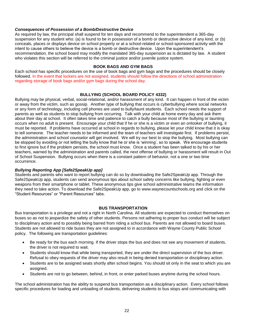#### *Consequences of Possession of a Bomb/Destructive Device*

As required by law, the principal shall suspend for ten days and recommend to the superintendent a 365-day suspension for any student who: (a) is found to be in possession of a bomb or destructive device of any kind, or (b) conceals, places or displays device on school property or at a school-related or school-sponsored activity with the intent to cause others to believe the device is a bomb or destructive device. Upon the superintendent's recommendation, the school board may modify the mandated 365-day suspension as is dictated by law. A student who violates this section will be referred to the criminal justice and/or juvenile justice system.

#### **BOOK BAGS AND GYM BAGS**

Each school has specific procedures on the use of book bags and gym bags and the procedures should be closely followed. In the event that lockers are not assigned, students should follow the directions of school administration regarding storage of book bags and/or gym bags during the school day.

#### **BULLYING (SCHOOL BOARD POLICY 4332)**

Bullying may be physical, verbal, social-relational, and/or harassment of any kind. It can happen in front of the victim or away from the victim, such as gossip. Another type of bullying that occurs is cyberbullying where social networks or any form of technology, including cell phones are used to bully/taunt students. Each school needs the support of parents as well as students to stop bullying from occurring. Talk with your child at home every day and ask them about their day at school. It often takes time and patience to catch a bully because most of the bullying or taunting occurs when no adult is present. Encourage your child that if he or she is a victim or even an onlooker of bullying, it must be reported. If problems have occurred at school in regards to bullying, please let your child know that it is okay to tell someone. The teacher needs to be informed and the team of teachers will investigate first. If problems persist, the administration and school counselor will get involved. We will try our best to stop the bullying. Most bullying can be stopped by avoiding or not letting the bully know that he or she is 'winning', so to speak. We encourage students to first ignore but if the problem persists, the school must know. Once a student has been talked to by his or her teachers, warned by the administration and parents called, the next offense of bullying or harassment will result in Out of School Suspension. Bullying occurs when there is a constant pattern of behavior, not a one or two time occurrence.

#### *Bullying Reporting App [Safe2SpeakUp app]*

Students and parents who want to report bullying can do so by downloading the Safe2SpeakUp app. Through the Safe2SpeakUp app, students can send anonymous tips about school safety concerns like bullying, fighting or even weapons from their smartphone or tablet. These anonymous tips give school administrative teams the information they need to take action. To download the Safe2SpeakUp app, go to www.waynecountschools.org and click on the "Student Resources" or "Parent Resources" tabs.

#### **BUS TRANSPORTATION**

Bus transportation is a privilege and not a right in North Carolina. All students are expected to conduct themselves on buses so as not to jeopardize the safety of other students. Persons not adhering to proper bus conduct will be subject to disciplinary action and to possibly being barred from riding a school bus. Parents are not allowed to board buses. Students are not allowed to ride buses they are not assigned to in accordance with Wayne County Public School policy. The following are transportation guidelines:

- Be ready for the bus each morning. If the driver stops the bus and does not see any movement of students, the driver is not required to wait.
- Students should know that while being transported, they are under the direct supervision of the bus driver. Refusal to obey requests of the driver may also result in being denied transportation or disciplinary action.
- Students are to be assigned seats shortly after school begins. You should sit only in the seat to which you are assigned.
- Students are not to go between, behind, in front, or enter parked buses anytime during the school hours.

The school administration has the ability to suspend bus transportation as a disciplinary action. Every school follows specific procedures for loading and unloading of students, delivering students to bus stops and communicating with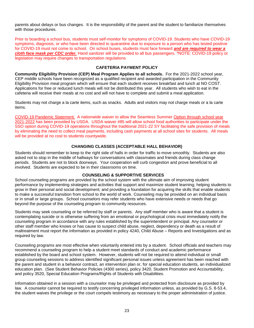parents about delays or bus changes. It is the responsibility of the parent and the student to familiarize themselves with those procedures.

Prior to boarding a school bus, students must self-monitor for symptoms of COVID-19. Students who have COVID-19 symptoms, diagnosis, or who have been directed to quarantine due to exposure to a person who has tested positive for COVID-19 must not come to school. On school buses, students must face forward *and are required to wear a cloth face mask per CDC order.* Hand sanitizer will be provided to all bus passengers. \*NOTE: COVID-19 policy or legislation may require changes to transportation regulations

#### **CAFETERIA PAYMENT POLICY**

**Community Eligibility Provision (CEP) Meal Program Applies to all schools.** For the 2021-2022 school year, CEP middle schools have been recognized as a qualified recipient and awarded participation in the Community Eligibility Provision meal program which will ensure that each student receives breakfast and lunch at NO COST. Applications for free or reduced lunch meals will not be distributed this year. All students who wish to eat in the cafeteria will receive their meals at no cost and will not have to complete and submit a meal application.

Students may not charge a la carte items, such as snacks. Adults and visitors may not charge meals or a la carte items.

COVID-19 Pandemic Statement: A nationwide waiver to allow the Seamless Summer Option through school year 2021-2022 has been provided by USDA. USDA waiver #85 will allow school food authorities to participate under the SSO option during COVID-19 operations throughout the traditional 2021-22 SY facilitating the safe provision of meals by eliminating the need to collect meal payments, including cash payments at all school sites for students. All meals will be provided at no cost to students countywide.

#### **CHANGING CLASSES (ACCEPTABLE HALL BEHAVIOR)**

Students should remember to keep to the right side of halls in order for traffic to move smoothly. Students are also asked not to stop in the middle of hallways for conversations with classmates and friends during class change periods. Students are not to block doorways. Your cooperation will curb congestion and prove beneficial to all involved. Students are expected to be in their classrooms on time.

#### **COUNSELING & SUPPORTIVE SERVICES**

School counseling programs are provided by the school system with the ultimate aim of improving student performance by implementing strategies and activities that support and maximize student learning; helping students to grow in their personal and social development; and providing a foundation for acquiring the skills that enable students to make a successful transition from school to the world of work. Counseling may be provided on an individual basis or in small or large groups. School counselors may refer students who have extensive needs or needs that go beyond the purpose of the counseling program to community resources.

Students may seek counseling or be referred by staff or parents. Any staff member who is aware that a student is contemplating suicide or is otherwise suffering from an emotional or psychological crisis must immediately notify the counseling program in accordance with any rules established by the superintendent or principal. Any counselor or other staff member who knows or has cause to suspect child abuse, neglect, dependency or death as a result of maltreatment must report the information as provided in policy 4240, Child Abuse – Reports and Investigations and as required by law.

Counseling programs are most effective when voluntarily entered into by a student. School officials and teachers may recommend a counseling program to help a student meet standards of conduct and academic performance established by the board and school system. However, students will not be required to attend individual or small group counseling sessions to address identified significant personal issues unless agreement has been reached with the parent and student in a behavior contract, an intervention plan or, for special education students, an individualized education plan. (See Student Behavior Policies (4300 series), policy 3420, Student Promotion and Accountability, and policy 3520, Special Education Programs/Rights of Students with Disabilities.

Information obtained in a session with a counselor may be privileged and protected from disclosure as provided by law. A counselor cannot be required to testify concerning privileged information unless, as provided by G.S. 8-53.4, the student waives the privilege or the court compels testimony as necessary to the proper administration of justice.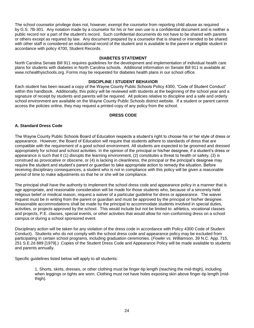The school counselor privilege does not, however, exempt the counselor from reporting child abuse as required by G.S. 7B-301. Any notation made by a counselor for his or her own use is a confidential document and is neither a public record nor a part of the student's record. Such confidential documents do not have to be shared with parents or others except as required by law. Any document prepared by a counselor that is shared or intended to be shared with other staff is considered an educational record of the student and is available to the parent or eligible student in accordance with policy 4700, Student Records.

#### **DIABETES STATEMENT**

North Carolina Senate Bill 911 requires guidelines for the development and implementation of individual health care plans for students with diabetes in North Carolina schools. Additional information on Senate Bill 911 is available at: [www.nchealthyschools.org.](http://www.nchealthyschools.org/) Forms may be requested for diabetes health plans in our school office.

#### **DISCIPLINE / STUDENT BEHAVIOR**

Each student has been issued a copy of the Wayne County Public Schools Policy 4300, "Code of Student Conduct" within this handbook. Additionally, this policy will be reviewed with students at the beginning of the school year and a signature of receipt by students and parents will be required. All policies relative to discipline and a safe and orderly school environment are available on the Wayne County Public Schools district website. If a student or parent cannot access the policies online, they may request a printed copy of any policy from the school.

#### **DRESS CODE**

#### **A. Standard Dress Code**

The Wayne County Public Schools Board of Education respects a student's right to choose his or her style of dress or appearance. However, the Board of Education will require that students adhere to standards of dress that are compatible with the requirement of a good school environment. All students are expected to be groomed and dressed appropriately for school and school activities. In the opinion of the principal or his/her designee, if a student's dress or appearance is such that it (1) disrupts the learning environment, (2) constitutes a threat to health or safety, (3) is construed as provocative or obscene, or (4) is lacking in cleanliness, the principal or the principal's designee may require the student and student's parent or guardian to take appropriate action to remedy the situation. Before receiving disciplinary consequences, a student who is not in compliance with this policy will be given a reasonable period of time to make adjustments so that he or she will be compliance.

The principal shall have the authority to implement the school dress code and appearance policy in a manner that is age appropriate, and reasonable consideration will be made for those students who, because of a sincerely held religious belief or medical reason, request a waiver of a particular guideline for dress or appearance. The waiver request must be in writing from the parent or guardian and must be approved by the principal or his/her designee. Reasonable accommodations shall be made by the principal to accommodate students involved in special duties, activities, or projects approved by the school. This would include but not be limited to: athletics, vocational classes and projects, P.E. classes, special events, or other activities that would allow for non-conforming dress on a school campus or during a school sponsored event.

Disciplinary action will be taken for any violation of the dress code in accordance with Policy 4300 Code of Student Conduct). Students who do not comply with the school dress code and appearance policy may be excluded from participating in certain school programs, including graduation ceremonies. (*Fowler vs. Williamson*, 39 N.C. App. 715, 251 S.E.2d 889 [1979].) Copies of the Student Dress Code and Appearance Policy will be made available to students and parents annually.

Specific guidelines listed below will apply to all students:

1. Shorts, skirts, dresses, or other clothing must be finger-tip length (reaching the mid-thigh), including when leggings or tights are worn. Clothing must not have holes exposing skin above finger-tip length (midthigh).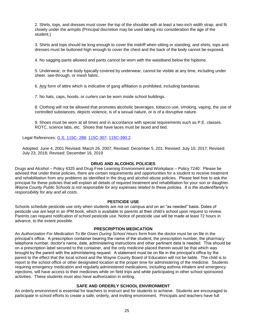2. Shirts, tops, and dresses must cover the top of the shoulder with at least a two-inch width strap, and fit closely under the armpits (Principal discretion may be used taking into consideration the age of the student.)

3. Shirts and tops should be long enough to cover the midriff when sitting or standing; and shirts, tops and dresses must be buttoned high enough to cover the chest and the back of the body cannot be exposed.

4. No sagging pants allowed and pants cannot be worn with the waistband below the hipbone.

5. Underwear, or the body typically covered by underwear, cannot be visible at any time, including under sheer, see-through, or mesh fabric.

6. Any form of attire which is indicative of gang affiliation is prohibited, including bandanas.

7. No hats, caps, hoods, or curlers can be worn inside school buildings.

8. Clothing will not be allowed that promotes alcoholic beverages, tobacco use, smoking, vaping, the use of controlled substances, depicts violence, is of a sexual nature, or is of a disruptive nature.

9. Shoes must be worn at all times and in accordance with special requirements such as P.E. classes, ROTC, science labs, etc. Shoes that have laces must be laced and tied.

Legal References: [G.S. 115C-](http://redirector.microscribepub.com/?cat=stat&loc=nc&id=115c&spec=288) 288; [115C-307;](http://redirector.microscribepub.com/?cat=stat&loc=nc&id=115c&spec=307) [115C-390.2.](http://redirector.microscribepub.com/?cat=stat&loc=nc&id=115c&spec=390.2)

Adopted: June 4, 2001 Revised: March 26, 2007; Revised: December 5, 201: Revised: July 10, 2017; Revised: July 23, 2018; Revised: December 16, 2019

#### **DRUG AND ALCOHOL POLICIES**

Drugs and Alcohol – Policy 4325 and Drug-Free Learning Environment and Workplace – Policy 7240: Please be advised that under these policies, there are certain requirements and opportunities for a student to receive treatment and rehabilitation from any problems as identified in the drug and alcohol abuse policies. Please feel free to ask the principal for these policies that will explain all details of required treatment and rehabilitation for your son or daughter. *Wayne County Public Schools is not responsible for any expenses related to these policies. It is the student/family's responsibility for any and all costs.*

#### **PESTICIDE USE**

Schools schedule pesticide use only when students are not on campus and on an "as needed" basis. Dates of pesticide use are kept in an IPM book, which is available to parents at their child's school upon request to review. Parents can request notification of school pesticide use. Notice of pesticide use will be made at least 72 hours in advance, to the extent possible.

#### **PRESCRIPTION MEDICATION**

An *Authorization For Medication To Be Given During School Hours* form from the doctor must be on file in the principal's office. A prescription container bearing the name of the student, the prescription number, the pharmacy telephone number, doctor's name, date, administering instructions and other pertinent data is needed. This should be on a prescription label secured to the container, and the only medicine placed therein would be that which was brought by the parent with the administering request. A statement must be on file in the principal's office by the parent to the effect that the local school and the Wayne County Board of Education will not be liable. The child is to report to the school office or other designated location at the proper time for administering of the medicine. Students requiring emergency medication and regularly administered medications, including asthma inhalers and emergency injections, will have access to their medicines while on field trips and while participating in other school sponsored activities. These students must also have authorization in writing.

#### **SAFE AND ORDERLY SCHOOL ENVIRONMENT**

An orderly environment is essential for teachers to instruct and for students to achieve. Students are encouraged to participate in school efforts to create a safe, orderly, and inviting environment. Principals and teachers have full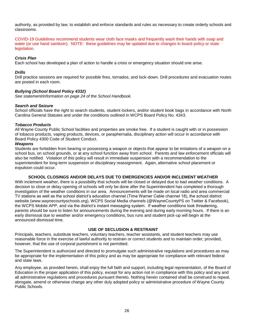authority, as provided by law, to establish and enforce standards and rules as necessary to create orderly schools and classrooms.

COVID-19 Guidelines recommend students wear cloth face masks and frequently wash their hands with soap and water (or use hand sanitizer). NOTE: these guidelines may be updated due to changes in board policy or state legislation.

#### *Crisis Plan*

Each school has developed a plan of action to handle a crisis or emergency situation should one arise.

#### *Drills*

Drill practice sessions are required for possible fires, tornados, and lock-down. Drill procedures and evacuation routes are posted in each room.

#### *Bullying (School Board Policy 4332)*

*See statement/information on page 24 of the School Handbook.*

#### *Search and Seizure*

School officials have the right to search students, student lockers, and/or student book bags in accordance with North Carolina General Statutes and under the conditions outlined in WCPS Board Policy No. 4343.

#### *Tobacco Products*

All Wayne County Public School facilities and properties are smoke free. If a student is caught with or in possession of tobacco products, vaping products, devices, or paraphernalia, disciplinary action will occur in accordance with Board Policy 4300 Code of Student Conduct.

#### *Weapons*

Students are forbidden from bearing or possessing a weapon or objects that appear to be imitations of a weapon on a school bus, on school grounds, or at any school function away from school. Parents and law enforcement officials will also be notified. Violation of this policy will result in immediate suspension with a recommendation to the superintendent for long-term suspension or disciplinary reassignment. Again, alternative school placement or expulsion could occur.

#### **SCHOOL CLOSINGS AND/OR DELAYS DUE TO EMERGENCIES AND/OR INCLEMENT WEATHER**

With inclement weather, there is a possibility that schools will be closed or delayed due to bad weather conditions. A decision to close or delay opening of schools will only be done after the Superintendent has completed a thorough investigation of the weather conditions in our area. Announcements will be made on local radio and area commercial TV stations as well as the school district's education channel (Time Warner Cable channel 18), the school district website [\(www.waynecountyschools.org\)](http://www.waynecountyschools.org/), WCPS Social Media channels (@WayneCountyPS on Twitter & Facebook), the WCPS Mobile APP, and via the district's instant messaging system. If weather conditions look threatening, parents should be sure to listen for announcements during the evening and during early morning hours. If there is an early dismissal due to weather and/or emergency conditions, bus runs and student pick-up will begin at the announced dismissal time.

#### **USE OF SECLUSION & RESTRAINT**

Principals, teachers, substitute teachers, voluntary teachers, teacher assistants, and student teachers may use reasonable force in the exercise of lawful authority to restrain or correct students and to maintain order; provided, however, that the use of corporal punishment is not permitted.

The Superintendent is authorized and directed to promulgate such administrative regulations and procedures as may be appropriate for the implementation of this policy and as may be appropriate for compliance with relevant federal and state laws.

Any employee, as provided herein, shall enjoy the full faith and support, including legal representation, of the Board of Education in the proper application of this policy, except for any action not in compliance with this policy and any and all administrative regulations and procedures pursuant thereto. Nothing herein contained shall be construed to repeal, abrogate, amend or otherwise change any other duly adopted policy or administrative procedure of Wayne County Public Schools.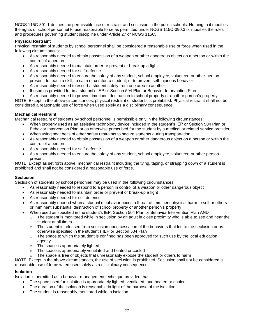NCGS 115C-391.1 defines the permissible use of restraint and seclusion in the public schools. Nothing in it modifies the rights of school personnel to use reasonable force as permitted under NCGS 115C-390.3 or modifies the rules and procedures governing student discipline under Article 27 of NCGS 115C.

#### **Physical Restraint**

Physical restraint of students by school personnel shall be considered a reasonable use of force when used in the following circumstances:

- As reasonably needed to obtain possession of a weapon or other dangerous object on a person or within the control of a person
- As reasonably needed to maintain order or prevent or break up a fight
- As reasonably needed for self-defense
- As reasonably needed to ensure the safety of any student, school employee, volunteer, or other person present; to teach a skill; to calm or comfort a student; or to prevent self-injurious behavior
- As reasonably needed to escort a student safely from one area to another
- If used as provided for in a student's IEP or Section 504 Plan or Behavior Intervention Plan
- As reasonably needed to prevent imminent destruction to school property or another person's property

NOTE: Except in the above circumstances, physical restraint of students is prohibited. Physical restraint shall not be considered a reasonable use of force when used solely as a disciplinary consequence.

#### **Mechanical Restraint**

Mechanical restraint of students by school personnel is permissible only in the following circumstances:

- When properly used as an assistive technology device included in the student's IEP or Section 504 Plan or Behavior Intervention Plan or as otherwise prescribed for the student by a medical or related service provider
- When using seat belts of other safety restraints to secure students during transportation
- As reasonably needed to obtain possession of a weapon or other dangerous object on a person or within the control of a person
- As reasonably needed for self-defense
- As reasonably needed to ensure the safety of any student, school employee, volunteer, or other person present

NOTE: Except as set forth above, mechanical restraint including the tying, taping, or strapping down of a student is prohibited and shall not be considered a reasonable use of force.

#### **Seclusion**

Seclusion of students by school personnel may be used in the following circumstances:

- As reasonably needed to respond to a person in control of a weapon or other dangerous object
- As reasonably needed to maintain order or prevent or break-up a fight
- As reasonably needed for self defense
- As reasonably needed when a student's behavior poses a threat of imminent physical harm to self or others or imminent substantial destruction of school property or another person's property
- When used as specified in the student's IEP, Section 504 Plan or Behavior Intervention Plan AND
	- $\circ$  The student is monitored while in seclusion by an adult in close proximity who is able to see and hear the student at all times
	- $\circ$  The student is released from seclusion upon cessation of the behaviors that led to the seclusion or as otherwise specified in the student's IEP or Section 504 Plan
	- $\circ$  The space to which the student is confined has been approved for such use by the local education agency
	- o The space is appropriately lighted
	- o The space is appropriately ventilated and heated or cooled
	- $\circ$  The space is free of objects that unreasonably expose the student or others to harm

NOTE: Except in the above circumstances, the use of seclusion is prohibited. Seclusion shall not be considered a reasonable use of force when used solely as a disciplinary consequence.

#### **Isolation**

Isolation is permitted as a behavior management technique provided that:

- The space used for isolation is appropriately lighted, ventilated, and heated or cooled
- The duration of the isolation is reasonable in light of the purpose of the isolation
- The student is reasonably monitored while in isolation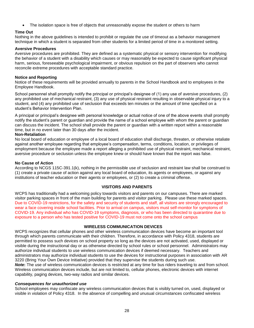• The isolation space is free of objects that unreasonably expose the student or others to harm

#### **Time Out**

Nothing in the above guidelines is intended to prohibit or regulate the use of timeout as a behavior management technique in which a student is separated from other students for a limited period of time in a monitored setting.

#### **Aversive Procedures**

Aversive procedures are prohibited. They are defined as a systematic physical or sensory intervention for modifying the behavior of a student with a disability which causes or may reasonably be expected to cause significant physical harm, serious, foreseeable psychological impairment, or obvious repulsion on the part of observers who cannot reconcile extreme procedures with acceptable standard practice.

#### **Notice and Reporting**

Notice of these requirements will be provided annually to parents in the School Handbook and to employees in the Employee Handbook.

School personnel shall promptly notify the principal or principal's designee of (1) any use of aversive procedures, (2) any prohibited use of mechanical restraint, (3) any use of physical restraint resulting in observable physical injury to a student, and (4) any prohibited use of seclusion that exceeds ten minutes or the amount of time specified on a student's Behavior Intervention Plan.

A principal or principal's designee with personal knowledge or actual notice of one of the above events shall promptly notify the student's parent or guardian and provide the name of a school employee with whom the parent or guardian can discuss the incident. The school shall provide the parent or guardian with a written report within a reasonable time, but in no event later than 30 days after the incident.

#### **Non-Retaliation**

No local board of education or employee of a local board of education shall discharge, threaten, or otherwise retaliate against another employee regarding that employee's compensation, terms, conditions, location, or privileges of employment because the employee made a report alleging a prohibited use of physical restraint, mechanical restraint, aversive procedure or seclusion unless the employee knew or should have known that the report was false.

#### **No Cause of Action**

According to NCGS 115C-391.1(k), nothing in the permissible use of seclusion and restraint law shall be construed to (1) create a private cause of action against any local board of education, its agents or employees, or against any institutions of teacher education or their agents or employees, or (2) to create a criminal offense.

#### **VISITORS AND PARENTS**

WCPS has traditionally had a welcoming policy towards visitors and parents on our campuses. There are marked visitor parking spaces in front of the main building for parents and visitor parking. Please use these marked spaces. Due to COVID-19 restrictions, for the safety and security of students and staff, all visitors are strongly encouraged to wear a face covering inside school facilities. Prior to arrival on campus, visitors must self-monitor for symptoms of COVID-19. Any individual who has COVID-19 symptoms, diagnosis, or who has been directed to quarantine due to exposure to a person who has tested positive for COVID-19 must not come onto the school campus

#### **WIRELESS COMMUNICATION DEVICES**

WCPS recognizes that cellular phones and other wireless communication devices have become an important tool through which parents communicate with their children. Therefore, in accordance with Policy 4318, students are permitted to possess such devices on school property so long as the devices are not activated, used, displayed or visible during the instructional day or as otherwise directed by school rules or school personnel. Administrators may authorize individual students to use wireless communication devices if deemed necessary. Teachers and administrators may authorize individual students to use the devices for instructional purposes in association with AR 3220 (Bring Your Own Device Initiative) provided that they supervise the students during such use. *Note***:** The use of wireless communication devices is restricted at any time for bus riders traveling to and from school. Wireless communication devices include, but are not limited to, cellular phones, electronic devices with internet capability, paging devices, two-way radios and similar devices.

#### *Consequences for unauthorized use*

School employees may confiscate any wireless communication devices that is visibly turned on, used, displayed or visible in violation of Policy 4318. In the absence of compelling and unusual circumstances confiscated wireless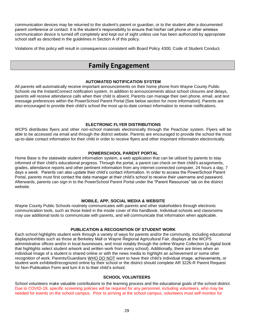communication devices may be returned to the student's parent or guardian, or to the student after a documented parent conference or contact. It is the student's responsibility to ensure that his/her cell phone or other wireless communication device is turned off completely and kept out of sight unless use has been authorized by appropriate school staff as described in the guidelines in Section A of this policy.

Violations of this policy will result in consequences consistent with Board Policy 4300, Code of Student Conduct.

# **Family Engagement**

#### **AUTOMATED NOTIFICATION SYSTEM**

All parents will automatically receive important announcements on their home phone from Wayne County Public Schools via the InstantConnect notification system. In addition to announcements about school closures and delays, parents will receive attendance calls when their child is absent. Parents can manage their own phone, email, and text message preferences within the PowerSchool Parent Portal [See below section for more information]. Parents are also encouraged to provide their child's school the most up-to-date contact information to receive notifications.

#### **ELECTRONIC FLYER DISTRIBUTIONS**

WCPS distributes flyers and other non-school materials electronically through the PeachJar system. Flyers will be able to be accessed via email and through the district website. Parents are encouraged to provide the school the most up-to-date contact information for their child in order to receive flyers and other important information electronically.

#### **POWERSCHOOL PARENT PORTAL**

Home Base is the statewide student information system, a web application that can be utilized by parents to stay informed of their child's educational progress. Through the portal, a parent can check on their child's assignments, grades, attendance reports and other pertinent information from any internet-connected computer, 24 hours a day, 7 days a week. Parents can also update their child's contact information. In order to access the PowerSchool Parent Portal, parents must first contact the data manager at their child's school to receive their username and password. Afterwards, parents can sign in to the PowerSchool Parent Portal under the "Parent Resources" tab on the district website.

#### **MOBILE, APP, SOCIAL MEDIA & WEBSITE**

Wayne County Public Schools routinely communicates with parents and other stakeholders through electronic communication tools, such as those listed in the inside cover of this handbook. Individual schools and classrooms may use additional tools to communicate with parents, and will communicate that information when applicable.

#### **PUBLICATION & RECOGNITION OF STUDENT WORK**

Each school highlights student work through a variety of ways for parents and/or the community, including educational displays/exhibits such as those at Berkeley Mall or Wayne Regional Agricultural Fair, displays at the WCPS administrative offices and/or in local businesses, and most notably through the online Wayne Collection (a digital book that highlights select student artwork and written work from every school). Additionally, there are times when an individual image of a student is shared online or with the news media to highlight an achievement or some other recognition of work. Parents/Guardians WHO DO NOT want to have their child's individual image, achievements, or student work exhibited/recognized online by their school or the district should complete AR 3226-R Parent Request for Non-Publication Form and turn it in to their child's school.

#### **SCHOOL VOLUNTEERS**

School volunteers make valuable contributions to the learning process and the educational goals of the school district. Due to COVID-19, specific screening policies will be required for any personnel, including volunteers, who may be needed for events on the school campus. Prior to arriving at the school campus, volunteers must self-monitor for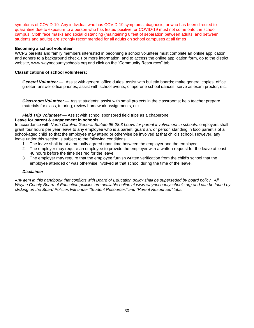symptoms of COVID-19. Any individual who has COVID-19 symptoms, diagnosis, or who has been directed to quarantine due to exposure to a person who has tested positive for COVID-19 must not come onto the school campus. Cloth face masks and social distancing (maintaining 6 feet of separation between adults, and between students and adults) are strongly recommended for all adults on school campuses at all times

#### **Becoming a school volunteer**

WCPS parents and family members interested in becoming a school volunteer must complete an online application and adhere to a background check. For more information, and to access the online application form, go to the district website, www.waynecountyschools.org and click on the "Community Resources" tab.

#### **Classifications of school volunteers:**

*General Volunteer* — Assist with general office duties; assist with bulletin boards; make general copies; office greeter, answer office phones; assist with school events; chaperone school dances, serve as exam proctor; etc.

*Classroom Volunteer* — Assist students; assist with small projects in the classrooms; help teacher prepare materials for class; tutoring; review homework assignments; etc.

*Field Trip Volunteer* — Assist with school sponsored field trips as a chaperone.

#### **Leave for parent & engagement in schools**

In accordance with *North Carolina General Statute 95-28.3 Leave for parent involvement in schools,* employers shall grant four hours per year leave to any employee who is a parent, guardian, or person standing in loco parentis of a school-aged child so that the employee may attend or otherwise be involved at that child's school. However, any leave under this section is subject to the following conditions:

- 1. The leave shall be at a mutually agreed upon time between the employer and the employee.
- 2. The employer may require an employee to provide the employer with a written request for the leave at least 48 hours before the time desired for the leave.
- 3. The employer may require that the employee furnish written verification from the child's school that the employee attended or was otherwise involved at that school during the time of the leave.

#### *Disclaimer*

*Any item in this handbook that conflicts with Board of Education policy shall be superseded by board policy. All Wayne County Board of Education policies are available online at [www.waynecountyschools.org](http://www.waynecountyschools.org/) and can be found by clicking on the Board Policies link under "Student Resources" and "Parent Resources" tabs.*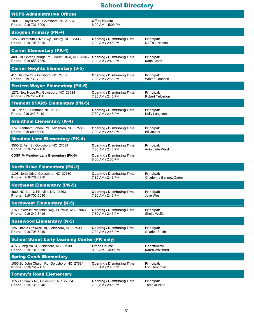# School Directory

| <b>WCPS Administrative Offices</b>                                       |                                                        |                                        |  |  |  |  |
|--------------------------------------------------------------------------|--------------------------------------------------------|----------------------------------------|--|--|--|--|
| 2001 E. Royall Ave, Goldsboro, NC 27534<br>Phone: 919-731-5900           | <b>Office Hours:</b><br>8:00 AM - 5:00 PM              |                                        |  |  |  |  |
| <b>Brogden Primary (PK-4)</b>                                            |                                                        |                                        |  |  |  |  |
| 2253 Old Mount Olive Hwy, Dudley, NC 28333<br>Phone: 919-705-6020        | <b>Opening / Dismissing Time:</b><br>7:30 AM / 2:45 PM | Principal:<br>Na'Tale Nelson           |  |  |  |  |
| <b>Carver Elementary (PK-4)</b>                                          |                                                        |                                        |  |  |  |  |
| 400 Old Seven Springs Rd, Mount Olive, NC 28365<br>Phone: 919-658-7330   | <b>Opening / Dismissing Time:</b><br>7:30 AM / 2:45 PM | Principal:<br>Karla Smith              |  |  |  |  |
| <b>Carver Heights Elementary (3-5)</b>                                   |                                                        |                                        |  |  |  |  |
| 411 Bunche Dr, Goldsboro, NC 27530<br>Phone: 919-731-7222                | <b>Opening / Dismissing Time:</b><br>7:30 AM / 2:55 PM | Principal:<br>Winter Goodson           |  |  |  |  |
| <b>Eastern Wayne Elementary (PK-5)</b>                                   |                                                        |                                        |  |  |  |  |
| 1271 New Hope Rd, Goldsboro, NC 27534<br>Phone: 919-751-7130             | <b>Opening / Dismissing Time:</b><br>7:30 AM / 2:45 PM | Principal:<br><b>Robert Yelverton</b>  |  |  |  |  |
| <b>Fremont STARS Elementary (PK-5)</b>                                   |                                                        |                                        |  |  |  |  |
| 101 Pine St, Fremont, NC 27830<br>Phone: 919-242-3410                    | <b>Opening / Dismissing Time:</b><br>7:30 AM / 2:45 PM | Principal:<br>Kelly Langston           |  |  |  |  |
| <b>Grantham Elementary (K-4)</b>                                         |                                                        |                                        |  |  |  |  |
| 174 Grantham School Rd, Goldsboro, NC 27530<br>Phone: 919-689-5000       | <b>Opening / Dismissing Time:</b><br>7:30 AM / 2:45 PM | Principal:<br><b>Bill Joyner</b>       |  |  |  |  |
| <b>Meadow Lane Elementary (PK-4)</b>                                     |                                                        |                                        |  |  |  |  |
| 3500 E. Ash St, Goldsboro, NC 27534<br>Phone: 919-751-7150               | <b>Opening / Dismissing Time:</b><br>7:30 AM / 2:45 PM | Principal:<br>Antoinette Ward          |  |  |  |  |
| CDSP @ Meadow Lane Elementary (PK-5)                                     | <b>Opening / Dismissing Time</b><br>8:00 AM / 2:00 PM  |                                        |  |  |  |  |
| <b>North Drive Elementary (PK-2)</b>                                     |                                                        |                                        |  |  |  |  |
| 1108 North Drive, Goldsboro, NC 27530<br>Phone: 919-731-5950             | <b>Opening / Dismissing Time:</b><br>7:30 AM / 2:45 PM | Principal:<br>Charlenna Bennett-Carter |  |  |  |  |
| <b>Northeast Elementary (PK-5)</b>                                       |                                                        |                                        |  |  |  |  |
| 4665 NC 111 N, Pikeville, NC 27863<br>Phone: 919-705-6030                | <b>Opening / Dismissing Time:</b><br>7:30 AM / 2:45 PM | Principal:<br>Julie West               |  |  |  |  |
| <b>Northwest Elementary (K-5)</b>                                        |                                                        |                                        |  |  |  |  |
| 1769 Pikeville/Princeton Hwy, Pikeville, NC 27863<br>Phone: 919-242-3419 | <b>Opening / Dismissing Time:</b><br>7:30 AM / 2:45 PM | Principal:<br>Sheila Wolfe             |  |  |  |  |
| <b>Rosewood Elementary (K-5)</b>                                         |                                                        |                                        |  |  |  |  |
| 126 Charlie Braswell Rd, Goldsboro, NC 27530<br>Phone: 919-705-6040      | <b>Opening / Dismissing Time:</b><br>7:30 AM / 2:45 PM | Principal:<br><b>Charles Smith</b>     |  |  |  |  |
| <b>School Street Early Learning Center (PK only)</b>                     |                                                        |                                        |  |  |  |  |
| 415 S. Virginia St, Goldsboro, NC 27530<br>Phone: 919-731-5960           | <b>Office Hours:</b><br>8:00 AM - 4:00 PM              | Coordinator<br>Karen Whichard          |  |  |  |  |
| <b>Spring Creek Elementary</b>                                           |                                                        |                                        |  |  |  |  |
| 1050 St. John Church Rd, Goldsboro, NC 27534<br>Phone: 919-751-7155      | <b>Opening / Dismissing Time:</b><br>7:30 AM / 2:45 PM | Principal:<br>Lori Goodman             |  |  |  |  |
| <b>Tommy's Road Elementary</b>                                           |                                                        |                                        |  |  |  |  |
| 1150 Tommy's Rd, Goldsboro, NC 27534<br>Phone: 919-736-5040              | <b>Opening / Dismissing Time:</b><br>7:30 AM / 2:45 PM | Principal:<br>Tameka Allen             |  |  |  |  |